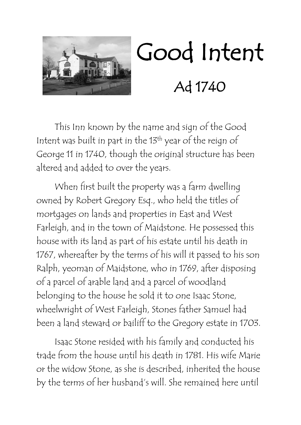

## Good Intent Ad 1740

This Inn known by the name and sign of the Good Intent was built in part in the 13<sup>th</sup> year of the reign of George 11 in 1740, though the original structure has been altered and added to over the years.

When first built the property was a farm dwelling owned by Robert Gregory Esq., who held the titles of mortgages on lands and properties in East and West Farleigh, and in the town of Maidstone. He possessed this house with its land as part of his estate until his death in 1767, whereafter by the terms of his will it passed to his son Ralph, yeoman of Maidstone, who in 1769, after disposing of a parcel of arable land and a parcel of woodland belonging to the house he sold it to one Isaac Stone, wheelwright of West Farleigh, Stones father Samuel had been a land steward or bailiff to the Gregory estate in 1703.

Isaac Stone resided with his family and conducted his trade from the house until his death in 1781. His wife Marie or the widow Stone, as she is described, inherited the house by the terms of her husband's will. She remained here until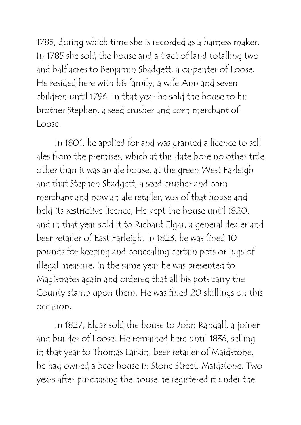1785, during which time she is recorded as a harness maker. In 1785 she sold the house and a tract of land totalling two and half acres to Benjamin Shadgett, a carpenter of Loose. He resided here with his family, a wife Ann and seven children until 1796. In that year he sold the house to his brother Stephen, a seed crusher and corn merchant of Loose.

In 1801, he applied for and was granted a licence to sell ales from the premises, which at this date bore no other title other than it was an ale house, at the green West Farleigh and that Stephen Shadgett, a seed crusher and corn merchant and now an ale retailer, was of that house and held its restrictive licence, He kept the house until 1820, and in that year sold it to Richard Elgar, a general dealer and beer retailer of East Farleigh. In 1823, he was fined 10 pounds for keeping and concealing certain pots or jugs of illegal measure. In the same year he was presented to Magistrates again and ordered that all his pots carry the County stamp upon them. He was fined 20 shillings on this occasion.

In 1827, Elgar sold the house to John Randall, a joiner and builder of Loose. He remained here until 1836, selling in that year to Thomas Larkin, beer retailer of Maidstone, he had owned a beer house in Stone Street, Maidstone. Two years after purchasing the house he registered it under the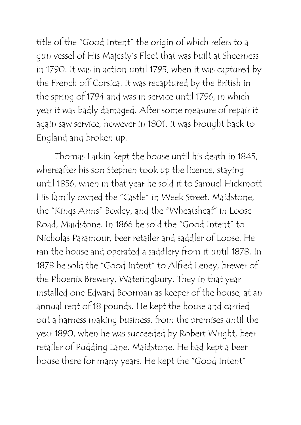title of the "Good Intent" the origin of which refers to a gun vessel of His Majesty's Fleet that was built at Sheerness in 1790. It was in action until 1793, when it was captured by the French off Corsica. It was recaptured by the British in the spring of 1794 and was in service until 1796, in which year it was badly damaged. After some measure of repair it again saw service, however in 1801, it was brought back to England and broken up.

Thomas Larkin kept the house until his death in 1845, whereafter his son Stephen took up the licence, staying until 1856, when in that year he sold it to Samuel Hickmott. His family owned the "Castle" in Week Street, Maidstone, the "Kings Arms" Boxley, and the "Wheatsheaf" in Loose Road, Maidstone. In 1866 he sold the "Good Intent" to Nicholas Paramour, beer retailer and saddler of Loose. He ran the house and operated a saddlery from it until 1878. In 1878 he sold the "Good Intent" to Alfred Leney, brewer of the Phoenix Brewery, Wateringbury. They in that year installed one Edward Boorman as keeper of the house, at an annual rent of 18 pounds. He kept the house and carried out a harness making business, from the premises until the year 1890, when he was succeeded by Robert Wright, beer retailer of Pudding Lane, Maidstone. He had kept a beer house there for many years. He kept the "Good Intent"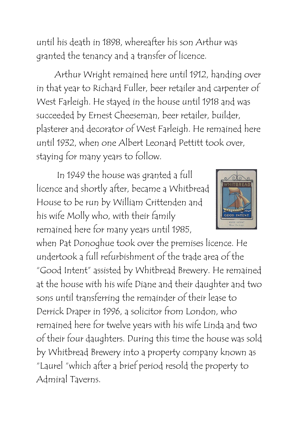until his death in 1898, whereafter his son Arthur was granted the tenancy and a transfer of licence.

Arthur Wright remained here until 1912, handing over in that year to Richard Fuller, beer retailer and carpenter of West Farleigh. He stayed in the house until 1918 and was succeeded by Ernest Cheeseman, beer retailer, builder, plasterer and decorator of West Farleigh. He remained here until 1932, when one Albert Leonard Pettitt took over, staying for many years to follow.

In 1949 the house was granted a full licence and shortly after, became a Whitbread House to be run by William Crittenden and his wife Molly who, with their family remained here for many years until 1985,



when Pat Donoghue took over the premises licence. He undertook a full refurbishment of the trade area of the "Good Intent" assisted by Whitbread Brewery. He remained at the house with his wife Diane and their daughter and two sons until transferring the remainder of their lease to Derrick Draper in 1996, a solicitor from London, who remained here for twelve years with his wife Linda and two of their four daughters. During this time the house was sold by Whitbread Brewery into a property company known as "Laurel "which after a brief period resold the property to Admiral Taverns.